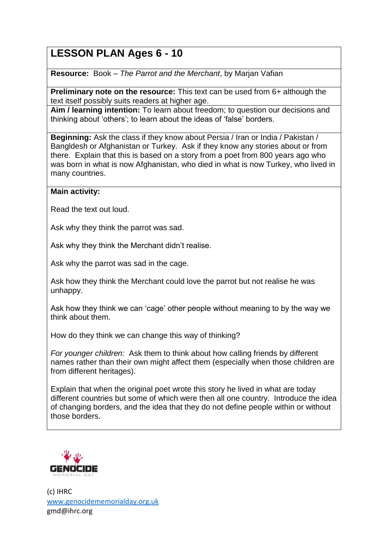# **LESSON PLAN Ages 6 - 10**

**Resource:** Book – *The Parrot and the Merchant*, by Marjan Vafian

**Preliminary note on the resource:** This text can be used from 6+ although the text itself possibly suits readers at higher age.

**Aim / learning intention:** To learn about freedom; to question our decisions and thinking about 'others'; to learn about the ideas of 'false' borders.

**Beginning:** Ask the class if they know about Persia / Iran or India / Pakistan / Bangldesh or Afghanistan or Turkey. Ask if they know any stories about or from there. Explain that this is based on a story from a poet from 800 years ago who was born in what is now Afghanistan, who died in what is now Turkey, who lived in many countries.

### **Main activity:**

Read the text out loud.

Ask why they think the parrot was sad.

Ask why they think the Merchant didn't realise.

Ask why the parrot was sad in the cage.

Ask how they think the Merchant could love the parrot but not realise he was unhappy.

Ask how they think we can 'cage' other people without meaning to by the way we think about them.

How do they think we can change this way of thinking?

*For younger children:* Ask them to think about how calling friends by different names rather than their own might affect them (especially when those children are from different heritages).

Explain that when the original poet wrote this story he lived in what are today different countries but some of which were then all one country. Introduce the idea of changing borders, and the idea that they do not define people within or without those borders.



(c) IHRC [www.genocidememorialday.org.uk](http://www.genocidememorialday.org.uk/) gmd@ihrc.org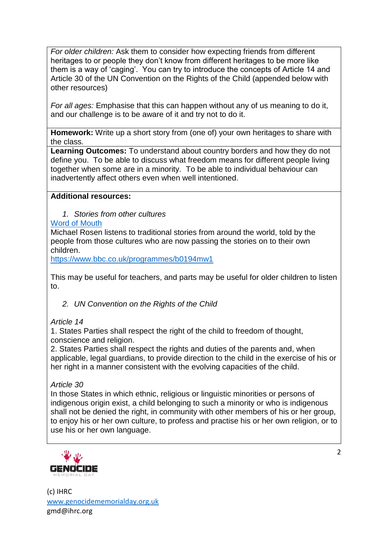*For older children:* Ask them to consider how expecting friends from different heritages to or people they don't know from different heritages to be more like them is a way of 'caging'. You can try to introduce the concepts of Article 14 and Article 30 of the UN Convention on the Rights of the Child (appended below with other resources)

*For all ages:* Emphasise that this can happen without any of us meaning to do it, and our challenge is to be aware of it and try not to do it.

**Homework:** Write up a short story from (one of) your own heritages to share with the class.

**Learning Outcomes:** To understand about country borders and how they do not define you. To be able to discuss what freedom means for different people living together when some are in a minority. To be able to individual behaviour can inadvertently affect others even when well intentioned.

### **Additional resources:**

*1. Stories from other cultures*

# [Word of Mouth](https://www.bbc.co.uk/programmes/b006qtnz)

Michael Rosen listens to traditional stories from around the world, told by the people from those cultures who are now passing the stories on to their own children.

<https://www.bbc.co.uk/programmes/b0194mw1>

This may be useful for teachers, and parts may be useful for older children to listen to.

*2. UN Convention on the Rights of the Child*

# *Article 14*

1. States Parties shall respect the right of the child to freedom of thought, conscience and religion.

2. States Parties shall respect the rights and duties of the parents and, when applicable, legal guardians, to provide direction to the child in the exercise of his or her right in a manner consistent with the evolving capacities of the child.

#### *Article 30*

In those States in which ethnic, religious or linguistic minorities or persons of indigenous origin exist, a child belonging to such a minority or who is indigenous shall not be denied the right, in community with other members of his or her group, to enjoy his or her own culture, to profess and practise his or her own religion, or to use his or her own language.



(c) IHRC [www.genocidememorialday.org.uk](http://www.genocidememorialday.org.uk/) gmd@ihrc.org

 $\mathcal{L}$